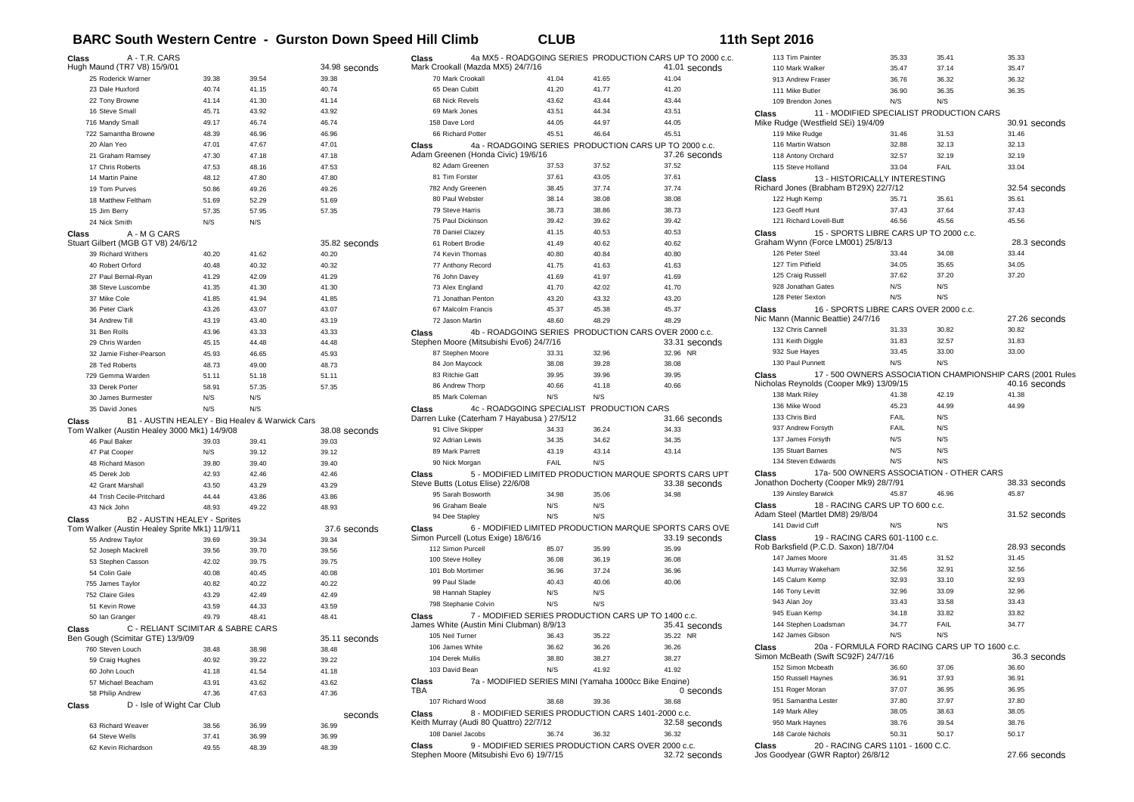## **BARC South Western Centre - Gurston Down Speed Hill Climb CLUB 11th Sept 2016**

| Class<br>A - T.R. CARS                        |                                                |       |               | Class                                                 |                                                       |                 | 4a MX5 - ROADGOING SERIES PRODUCTION CARS UP TO 2000 c.c.           | 113 Tim Painter                                          | 35.33                                  | 35.41                                          | 35.33                                                                      |
|-----------------------------------------------|------------------------------------------------|-------|---------------|-------------------------------------------------------|-------------------------------------------------------|-----------------|---------------------------------------------------------------------|----------------------------------------------------------|----------------------------------------|------------------------------------------------|----------------------------------------------------------------------------|
| Hugh Maund (TR7 V8) 15/9/01                   |                                                |       | 34.98 seconds | Mark Crookall (Mazda MX5) 24/7/16                     |                                                       |                 | 41.01 seconds                                                       | 110 Mark Walker                                          | 35.47                                  | 37.14                                          | 35.47                                                                      |
| 25 Roderick Warner                            | 39.38                                          | 39.54 | 39.38         | 70 Mark Crookall                                      | 41.04                                                 | 41.65           | 41.04                                                               | 913 Andrew Fraser                                        | 36.76                                  | 36.32                                          | 36.32                                                                      |
| 23 Dale Huxford                               | 40.74                                          | 41.15 | 40.74         | 65 Dean Cubitt                                        | 41.20                                                 | 41.77           | 41.20                                                               | 111 Mike Butler                                          | 36.90                                  | 36.35                                          | 36.35                                                                      |
| 22 Tony Browne                                | 41.14                                          | 41.30 | 41.14         | 68 Nick Revels                                        | 43.62                                                 | 43.44           | 43.44                                                               | 109 Brendon Jones                                        | N/S                                    | N/S                                            |                                                                            |
| 16 Steve Small                                | 45.71                                          | 43.92 | 43.92         | 69 Mark Jones                                         | 43.51                                                 | 44.34           | 43.51                                                               | <b>Class</b>                                             |                                        | 11 - MODIFIED SPECIALIST PRODUCTION CARS       |                                                                            |
| 716 Mandy Small                               | 49.17                                          | 46.74 | 46.74         | 158 Dave Lord                                         | 44.05                                                 | 44.97           | 44.05                                                               | Mike Rudge (Westfield SEi) 19/4/09                       |                                        |                                                | 30.91 seconds                                                              |
| 722 Samantha Browne                           | 48.39                                          | 46.96 | 46.96         | 66 Richard Potter                                     | 45.51                                                 | 46.64           | 45.51                                                               | 119 Mike Rudge                                           | 31.46                                  | 31.53                                          | 31.46                                                                      |
| 20 Alan Yeo                                   | 47.01                                          | 47.67 | 47.01         | Class                                                 |                                                       |                 | 4a - ROADGOING SERIES PRODUCTION CARS UP TO 2000 c.c.               | 116 Martin Watson                                        | 32.88                                  | 32.13                                          | 32.13                                                                      |
| 21 Graham Ramsey                              | 47.30                                          | 47.18 | 47.18         | Adam Greenen (Honda Civic) 19/6/16<br>82 Adam Greenen |                                                       | 37.52           | 37.26 seconds<br>37.52                                              | 118 Antony Orchard                                       | 32.57                                  | 32.19                                          | 32.19                                                                      |
| 17 Chris Roberts                              | 47.53                                          | 48.16 | 47.53         | 81 Tim Forster                                        | 37.53                                                 |                 |                                                                     | 115 Steve Holland                                        | 33.04                                  | FAIL                                           | 33.04                                                                      |
| 14 Martin Paine                               | 48.12                                          | 47.80 | 47.80         |                                                       | 37.61<br>38.45                                        | 43.05<br>37.74  | 37.61<br>37.74                                                      | <b>Class</b>                                             | 13 - HISTORICALLY INTERESTING          |                                                |                                                                            |
| 19 Tom Purves                                 | 50.86                                          | 49.26 | 49.26         | 782 Andy Greenen                                      |                                                       |                 |                                                                     | Richard Jones (Brabham BT29X) 22/7/12                    |                                        |                                                | 32.54 seconds                                                              |
| 18 Matthew Feltham                            | 51.69                                          | 52.29 | 51.69         | 80 Paul Webster<br>79 Steve Harris                    | 38.14<br>38.73                                        | 38.08<br>38.86  | 38.08<br>38.73                                                      | 122 Hugh Kemp<br>123 Geoff Hunt                          | 35.71<br>37.43                         | 35.61<br>37.64                                 | 35.61<br>37.43                                                             |
| 15 Jim Berry                                  | 57.35                                          | 57.95 | 57.35         | 75 Paul Dickinson                                     | 39.42                                                 | 39.62           | 39.42                                                               | 121 Richard Lovell-Butt                                  | 46.56                                  | 45.56                                          | 45.56                                                                      |
| 24 Nick Smith                                 | N/S                                            | N/S   |               |                                                       | 41.15                                                 | 40.53           | 40.53                                                               |                                                          | 15 - SPORTS LIBRE CARS UP TO 2000 c.c. |                                                |                                                                            |
| A - M G CARS<br>Class                         |                                                |       |               | 78 Daniel Clazey                                      | 41.49                                                 |                 |                                                                     | <b>Class</b><br>Graham Wynn (Force LM001) 25/8/13        |                                        |                                                | 28.3 seconds                                                               |
| Stuart Gilbert (MGB GT V8) 24/6/12            |                                                |       | 35.82 seconds | 61 Robert Brodie                                      |                                                       | 40.62           | 40.62                                                               | 126 Peter Steel                                          | 33.44                                  | 34.08                                          | 33.44                                                                      |
| 39 Richard Withers                            | 40.20                                          | 41.62 | 40.20         | 74 Kevin Thomas                                       | 40.80                                                 | 40.84           | 40.80                                                               | 127 Tim Pitfield                                         | 34.05                                  | 35.65                                          | 34.05                                                                      |
| 40 Robert Orford                              | 40.48                                          | 40.32 | 40.32         | 77 Anthony Record                                     | 41.75                                                 | 41.63           | 41.63                                                               | 125 Craig Russell                                        | 37.62                                  | 37.20                                          | 37.20                                                                      |
| 27 Paul Bernal-Ryan                           | 41.29                                          | 42.09 | 41.29         | 76 John Davey                                         | 41.69                                                 | 41.97           | 41.69                                                               | 928 Jonathan Gates                                       | N/S                                    | N/S                                            |                                                                            |
| 38 Steve Luscombe                             | 41.35                                          | 41.30 | 41.30         | 73 Alex England                                       | 41.70                                                 | 42.02           | 41.70                                                               | 128 Peter Sexton                                         | N/S                                    | N/S                                            |                                                                            |
| 37 Mike Cole                                  | 41.85                                          | 41.94 | 41.85         | 71 Jonathan Penton                                    | 43.20                                                 | 43.32           | 43.20                                                               |                                                          |                                        |                                                |                                                                            |
| 36 Peter Clark                                | 43.26                                          | 43.07 | 43.07         | 67 Malcolm Francis                                    | 45.37                                                 | 45.38           | 45.37                                                               | Class<br>Nic Mann (Mannic Beattie) 24/7/16               | 16 - SPORTS LIBRE CARS OVER 2000 c.c.  |                                                |                                                                            |
| 34 Andrew Till                                | 43.19                                          | 43.40 | 43.19         | 72 Jason Martin                                       | 48.60                                                 | 48.29           | 48.29                                                               | 132 Chris Cannell                                        | 31.33                                  | 30.82                                          | 27.26 seconds<br>30.82                                                     |
| 31 Ben Rolls                                  | 43.96                                          | 43.33 | 43.33         | <b>Class</b>                                          | 4b - ROADGOING SERIES                                 |                 | PRODUCTION CARS OVER 2000 c.c.                                      | 131 Keith Diggle                                         | 31.83                                  | 32.57                                          | 31.83                                                                      |
| 29 Chris Warden                               | 45.15                                          | 44.48 | 44.48         | Stephen Moore (Mitsubishi Evo6) 24/7/16               |                                                       |                 | 33.31 seconds                                                       | 932 Sue Hayes                                            | 33.45                                  | 33.00                                          | 33.00                                                                      |
| 32 Jamie Fisher-Pearson                       | 45.93                                          | 46.65 | 45.93         | 87 Stephen Moore                                      | 33.31                                                 | 32.96           | 32.96 NR                                                            | 130 Paul Punnett                                         | N/S                                    | N/S                                            |                                                                            |
| 28 Ted Roberts                                | 48.73                                          | 49.00 | 48.73         | 84 Jon Maycock                                        | 38.08                                                 | 39.28           | 38.08                                                               |                                                          |                                        |                                                |                                                                            |
| 729 Gemma Warden                              | 51.11                                          | 51.18 | 51.11         | 83 Ritchie Gatt                                       | 39.95                                                 | 39.96           | 39.95                                                               | Class<br>Nicholas Reynolds (Cooper Mk9) 13/09/15         |                                        |                                                | 17 - 500 OWNERS ASSOCIATION CHAMPIONSHIP CARS (2001 Rules<br>40.16 seconds |
| 33 Derek Porter                               | 58.91                                          | 57.35 | 57.35         | 86 Andrew Thorp                                       | 40.66                                                 | 41.18           | 40.66                                                               | 138 Mark Riley                                           | 41.38                                  | 42.19                                          | 41.38                                                                      |
| 30 James Burmester                            | N/S                                            | N/S   |               | 85 Mark Coleman                                       | N/S                                                   | N/S             |                                                                     | 136 Mike Wood                                            | 45.23                                  | 44.99                                          | 44.99                                                                      |
| 35 David Jones                                | N/S                                            | N/S   |               | Class<br>Darren Luke (Caterham 7 Hayabusa) 27/5/12    | 4c - ROADGOING SPECIALIST                             | PRODUCTION CARS |                                                                     | 133 Chris Bird                                           | FAIL                                   | N/S                                            |                                                                            |
| Class                                         | B1 - AUSTIN HEALEY - Big Healev & Warwick Cars |       |               |                                                       |                                                       |                 | 31.66 seconds                                                       | 937 Andrew Forsyth                                       | FAIL                                   | N/S                                            |                                                                            |
| Tom Walker (Austin Healey 3000 Mk1) 14/9/08   |                                                |       | 38.08 seconds | 91 Clive Skipper                                      | 34.33                                                 | 36.24           | 34.33                                                               | 137 James Forsyth                                        | N/S                                    | N/S                                            |                                                                            |
| 46 Paul Baker                                 | 39.03                                          | 39.41 | 39.03         | 92 Adrian Lewis                                       | 34.35                                                 | 34.62           | 34.35                                                               | 135 Stuart Barnes                                        | N/S                                    | N/S                                            |                                                                            |
| 47 Pat Cooper                                 | N/S                                            | 39.12 | 39.12         | 89 Mark Parrett                                       | 43.19                                                 | 43.14           | 43.14                                                               | 134 Steven Edwards                                       | N/S                                    | N/S                                            |                                                                            |
| 48 Richard Mason                              | 39.80                                          | 39.40 | 39.40         | 90 Nick Morgan                                        | FAIL                                                  | N/S             |                                                                     |                                                          |                                        |                                                |                                                                            |
| 45 Derek Job                                  | 42.93                                          | 42.46 | 42.46         | Class                                                 |                                                       |                 | 5 - MODIFIED LIMITED PRODUCTION MARQUE SPORTS CARS UPT              | Class<br>Jonathon Docherty (Cooper Mk9) 28/7/91          |                                        | 17a-500 OWNERS ASSOCIATION - OTHER CARS        | 38.33 seconds                                                              |
| 42 Grant Marshall                             | 43.50                                          | 43.29 | 43.29         | Steve Butts (Lotus Elise) 22/6/08                     |                                                       |                 | 33.38 seconds                                                       | 139 Ainsley Barwick                                      | 45.87                                  | 46.96                                          | 45.87                                                                      |
| 44 Trish Cecile-Pritchard                     | 44.44                                          | 43.86 | 43.86         | 95 Sarah Bosworth                                     | 34.98                                                 | 35.06           | 34.98                                                               |                                                          |                                        |                                                |                                                                            |
| 43 Nick John                                  | 48.93                                          | 49.22 | 48.93         | 96 Graham Beale                                       | N/S                                                   | N/S             |                                                                     | Class<br>Adam Steel (Martlet DM8) 29/8/04                | 18 - RACING CARS UP TO 600 c.c.        |                                                | 31.52 seconds                                                              |
| Class                                         | B2 - AUSTIN HEALEY - Sprites                   |       |               | 94 Dee Stapley                                        | N/S                                                   | N/S             |                                                                     | 141 David Cuff                                           | N/S                                    | N/S                                            |                                                                            |
| Tom Walker (Austin Healey Sprite Mk1) 11/9/11 |                                                |       | 37.6 seconds  | Class                                                 |                                                       |                 | 6 - MODIFIED LIMITED PRODUCTION MARQUE SPORTS CARS OVE              |                                                          | 19 - RACING CARS 601-1100 c.c.         |                                                |                                                                            |
| 55 Andrew Taylor                              | 39.69                                          | 39.34 | 39.34         | Simon Purcell (Lotus Exige) 18/6/16                   |                                                       |                 | 33.19 seconds                                                       | Class<br>Rob Barksfield (P.C.D. Saxon) 18/7/04           |                                        |                                                | 28.93 seconds                                                              |
| 52 Joseph Mackrell                            | 39.56                                          | 39.70 | 39.56         | 112 Simon Purcell                                     | 85.07                                                 | 35.99           | 35.99                                                               | 147 James Moore                                          | 31.45                                  | 31.52                                          | 31.45                                                                      |
| 53 Stephen Casson                             | 42.02                                          | 39.75 | 39.75         | 100 Steve Holley                                      | 36.08                                                 | 36.19           | 36.08                                                               | 143 Murray Wakeham                                       | 32.56                                  | 32.91                                          | 32.56                                                                      |
| 54 Colin Gale                                 | 40.08                                          | 40.45 | 40.08         | 101 Bob Mortimer                                      | 36.96                                                 | 37.24           | 36.96                                                               | 145 Calum Kemp                                           | 32.93                                  | 33.10                                          | 32.93                                                                      |
| 755 James Taylor                              | 40.82                                          | 40.22 | 40.22         | 99 Paul Slade                                         | 40.43                                                 | 40.06           | 40.06                                                               |                                                          | 32.96                                  | 33.09                                          | 32.96                                                                      |
| 752 Claire Giles                              | 43.29                                          | 42.49 | 42.49         | 98 Hannah Stapley                                     | N/S                                                   | N/S             |                                                                     | 146 Tony Levitt<br>943 Alan Joy                          | 33.43                                  | 33.58                                          | 33.43                                                                      |
| 51 Kevin Rowe                                 | 43.59                                          | 44.33 | 43.59         | 798 Stephanie Colvin                                  | N/S                                                   | N/S             |                                                                     | 945 Euan Kemp                                            | 34.18                                  | 33.82                                          | 33.82                                                                      |
| 50 Ian Granger                                | 49.79                                          | 48.41 | 48.41         | Class                                                 |                                                       |                 | 7 - MODIFIED SERIES PRODUCTION CARS UP TO 1400 c.c.                 | 144 Stephen Loadsmar                                     | 34.77                                  | FAIL                                           | 34.77                                                                      |
| Class                                         | C - RELIANT SCIMITAR & SABRE CARS              |       |               | James White (Austin Mini Clubman) 8/9/13              |                                                       |                 | 35.41 seconds                                                       |                                                          |                                        |                                                |                                                                            |
| Ben Gough (Scimitar GTE) 13/9/09              |                                                |       | 35.11 seconds | 105 Neil Turner                                       | 36.43                                                 | 35.22           | 35.22 NR                                                            | 142 James Gibson                                         | N/S                                    | N/S                                            |                                                                            |
| 760 Steven Louch                              | 38.48                                          | 38.98 | 38.48         | 106 James White                                       | 36.62                                                 | 36.26           | 36.26                                                               | Class                                                    |                                        | 20a - FORMULA FORD RACING CARS UP TO 1600 c.c. |                                                                            |
| 59 Craig Hughes                               | 40.92                                          | 39.22 | 39.22         | 104 Derek Mullis                                      | 38.80                                                 | 38.27           | 38.27                                                               | Simon McBeath (Swift SC92F) 24///16<br>152 Simon Mcbeath |                                        | 37.06                                          | 36.3 seconds                                                               |
| 60 John Louch                                 | 41.18                                          | 41.54 | 41.18         | 103 David Bean                                        | N/S                                                   | 41.92           | 41.92                                                               |                                                          | 36.60                                  |                                                | 36.60                                                                      |
| 57 Michael Beacham                            | 43.91                                          | 43.62 | 43.62         | Class                                                 | 7a - MODIFIED SERIES MINI (Yamaha 1000cc Bike Engine) |                 |                                                                     | 150 Russell Haynes                                       | 36.91                                  | 37.93                                          | 36.91                                                                      |
| 58 Philip Andrew                              | 47.36                                          | 47.63 | 47.36         | TBA                                                   |                                                       |                 | 0 seconds                                                           | 151 Roger Moran                                          | 37.07                                  | 36.95                                          | 36.95                                                                      |
| D - Isle of Wight Car Club<br>Class           |                                                |       |               | 107 Richard Wood                                      | 38.68                                                 | 39.36           | 38.68                                                               | 951 Samantha Lester                                      | 37.80                                  | 37.97                                          | 37.80                                                                      |
|                                               |                                                |       | seconds       | Class                                                 | 8 - MODIFIED SERIES PRODUCTION CARS 1401-2000 c.c.    |                 |                                                                     | 149 Mark Alley                                           | 38.05                                  | 38.63                                          | 38.05                                                                      |
| 63 Richard Weaver                             | 38.56                                          | 36.99 | 36.99         | Keith Murray (Audi 80 Quattro) 22/7/12                |                                                       |                 | 32.58 seconds                                                       | 950 Mark Haynes                                          | 38.76                                  | 39.54                                          | 38.76                                                                      |
| 64 Steve Wells                                | 37.41                                          | 36.99 | 36.99         | 108 Daniel Jacobs                                     | 36.74                                                 | 36.32           | 36.32                                                               | 148 Carole Nichols                                       | 50.31                                  | 50.17                                          | 50.17                                                                      |
| 62 Kevin Richardson                           | 49.55                                          | 48.39 | 48.39         | Class<br>Stephen Moore (Mitsubishi Evo 6) 19/7/15     |                                                       |                 | 9 - MODIFIED SERIES PRODUCTION CARS OVER 2000 c.c.<br>32.72 seconds | Class<br>Jos Goodyear (GWR Raptor) 26/8/12               | 20 - RACING CARS 1101 - 1600 C.C.      |                                                | 27.66 seconds                                                              |